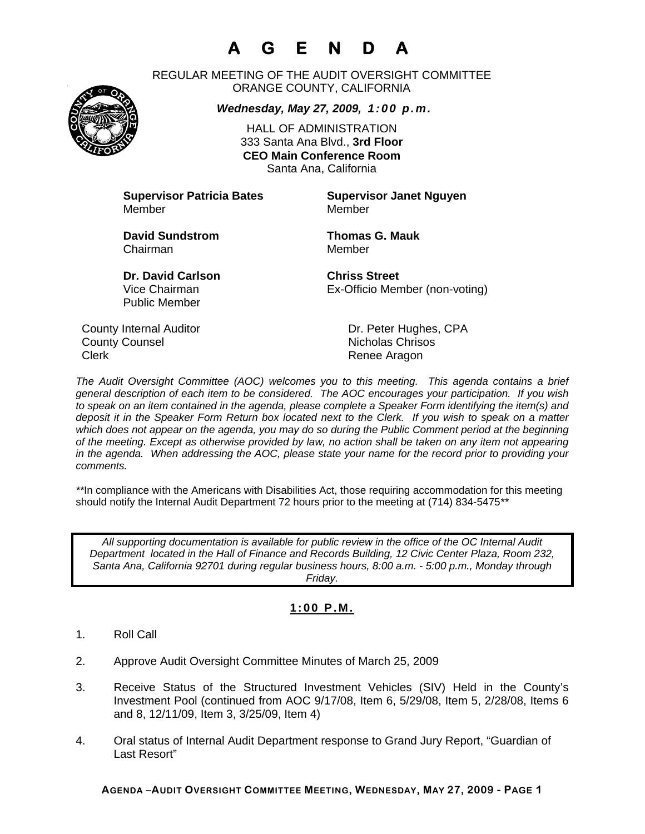# **A G E N D A**

REGULAR MEETING OF THE AUDIT OVERSIGHT COMMITTEE ORANGE COUNTY, CALIFORNIA

*Wednesday, May 27, 2009, 1:00 p.m.*

HALL OF ADMINISTRATION 333 Santa Ana Blvd., **3rd Floor CEO Main Conference Room**  Santa Ana, California

**Supervisor Patricia Bates Supervisor Janet Nguyen** Member Member

**David Sundstrom Thomas G. Mauk**  Chairman Member

Public Member

**Dr. David Carlson Chriss Street** Vice Chairman Ex-Officio Member (non-voting)

County Internal Auditor County Internal Auditor County Dr. Peter Hughes, CPA **County Counsel Countillist County Counsel Countillist County Counsel Countillist County Countil** Clerk **Clerk** Renee Aragon

*The Audit Oversight Committee (AOC) welcomes you to this meeting. This agenda contains a brief general description of each item to be considered. The AOC encourages your participation. If you wish to speak on an item contained in the agenda, please complete a Speaker Form identifying the item(s) and deposit it in the Speaker Form Return box located next to the Clerk. If you wish to speak on a matter which does not appear on the agenda, you may do so during the Public Comment period at the beginning of the meeting. Except as otherwise provided by law, no action shall be taken on any item not appearing in the agenda. When addressing the AOC, please state your name for the record prior to providing your comments.* 

*\*\**In compliance with the Americans with Disabilities Act, those requiring accommodation for this meeting should notify the Internal Audit Department 72 hours prior to the meeting at (714) 834-5475*\*\** 

*All supporting documentation is available for public review in the office of the OC Internal Audit Department located in the Hall of Finance and Records Building, 12 Civic Center Plaza, Room 232, Santa Ana, California 92701 during regular business hours, 8:00 a.m. - 5:00 p.m., Monday through Friday.* 

### **1:00 P.M.**

- 1. Roll Call
- 2. Approve Audit Oversight Committee Minutes of March 25, 2009
- 3. Receive Status of the Structured Investment Vehicles (SIV) Held in the County's Investment Pool (continued from AOC 9/17/08, Item 6, 5/29/08, Item 5, 2/28/08, Items 6 and 8, 12/11/09, Item 3, 3/25/09, Item 4)
- 4. Oral status of Internal Audit Department response to Grand Jury Report, "Guardian of Last Resort"